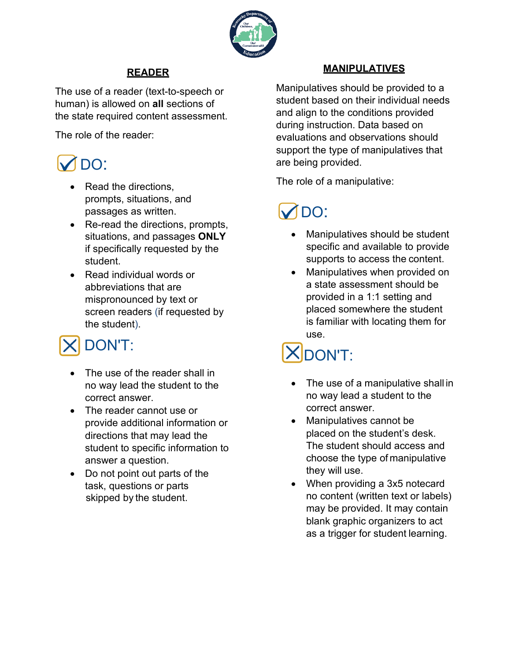

### **READER**

The use of a reader (text-to-speech or human) is allowed on **all** sections of the state required content assessment.

The role of the reader:

# DO:

- Read the directions. prompts, situations, and passages as written.
- Re-read the directions, prompts, situations, and passages **ONLY**  if specifically requested by the student.
- Read individual words or abbreviations that are mispronounced by text or screen readers (if requested by the student).

## DON'T:

- The use of the reader shall in no way lead the student to the correct answer.
- The reader cannot use or provide additional information or directions that may lead the student to specific information to answer a question.
- Do not point out parts of the task, questions or parts skipped by the student.

### **MANIPULATIVES**

Manipulatives should be provided to a student based on their individual needs and align to the conditions provided during instruction. Data based on evaluations and observations should support the type of manipulatives that are being provided.

The role of a manipulative:

## M<sub>DO:</sub>

- Manipulatives should be student specific and available to provide supports to access the content.
- Manipulatives when provided on a state assessment should be provided in a 1:1 setting and placed somewhere the student is familiar with locating them for use.

# **XIDON'T:**

- The use of a manipulative shall in no way lead a student to the correct answer.
- Manipulatives cannot be placed on the student's desk. The student should access and choose the type of manipulative they will use.
- When providing a 3x5 notecard no content (written text or labels) may be provided. It may contain blank graphic organizers to act as a trigger for student learning.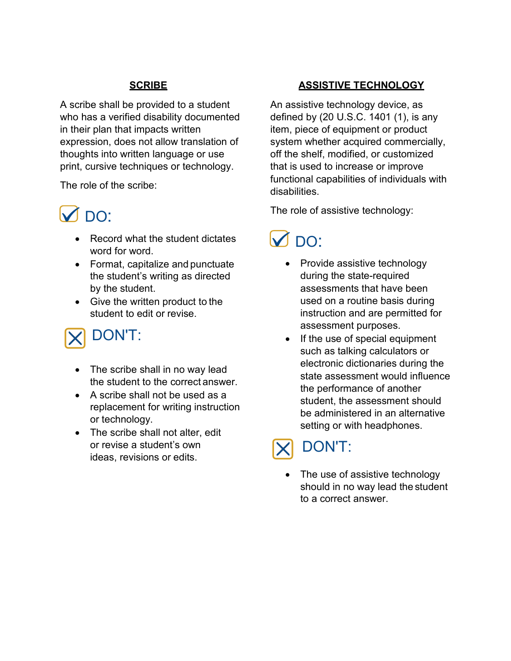### **SCRIBE**

A scribe shall be provided to a student who has a verified disability documented in their plan that impacts written expression, does not allow translation of thoughts into written language or use print, cursive techniques or technology.

The role of the scribe:

## **M** DO:

- Record what the student dictates word for word.
- Format, capitalize and punctuate the student's writing as directed by the student.
- Give the written product to the student to edit or revise.

## DON'T:

- The scribe shall in no way lead the student to the correct answer.
- A scribe shall not be used as a replacement for writing instruction or technology.
- The scribe shall not alter, edit or revise a student's own ideas, revisions or edits.

### **ASSISTIVE TECHNOLOGY**

An assistive technology device, as defined by (20 U.S.C. 1401 (1), is any item, piece of equipment or product system whether acquired commercially, off the shelf, modified, or customized that is used to increase or improve functional capabilities of individuals with disabilities.

The role of assistive technology:

## $\sqrt{)}$  DO:

- Provide assistive technology during the state-required assessments that have been used on a routine basis during instruction and are permitted for assessment purposes.
- If the use of special equipment such as talking calculators or electronic dictionaries during the state assessment would influence the performance of another student, the assessment should be administered in an alternative setting or with headphones.

## DON'T:

The use of assistive technology should in no way lead the student to a correct answer.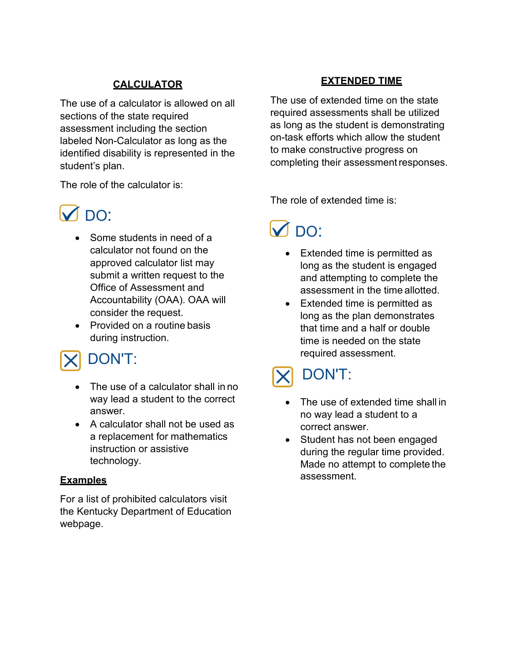### **CALCULATOR**

The use of a calculator is allowed on all sections of the state required assessment including the section labeled Non-Calculator as long as the identified disability is represented in the student's plan.

The role of the calculator is:

### **M** DO:

- Some students in need of a calculator not found on the approved calculator list may submit a written request to the Office of Assessment and Accountability (OAA). OAA will consider the request.
- Provided on a routine basis during instruction.

### DON'T:

- The use of a calculator shall in no way lead a student to the correct answer.
- A calculator shall not be used as a replacement for mathematics instruction or assistive technology.

#### **Examples**

For a list of prohibited calculators visit the Kentucky Department of Education webpage.

#### **EXTENDED TIME**

The use of extended time on the state required assessments shall be utilized as long as the student is demonstrating on-task efforts which allow the student to make constructive progress on completing their assessment responses.

The role of extended time is:

## $M$  DO:

- Extended time is permitted as long as the student is engaged and attempting to complete the assessment in the time allotted.
- Extended time is permitted as long as the plan demonstrates that time and a half or double time is needed on the state required assessment.

## DON'T:

- The use of extended time shall in no way lead a student to a correct answer.
- Student has not been engaged during the regular time provided. Made no attempt to complete the assessment.